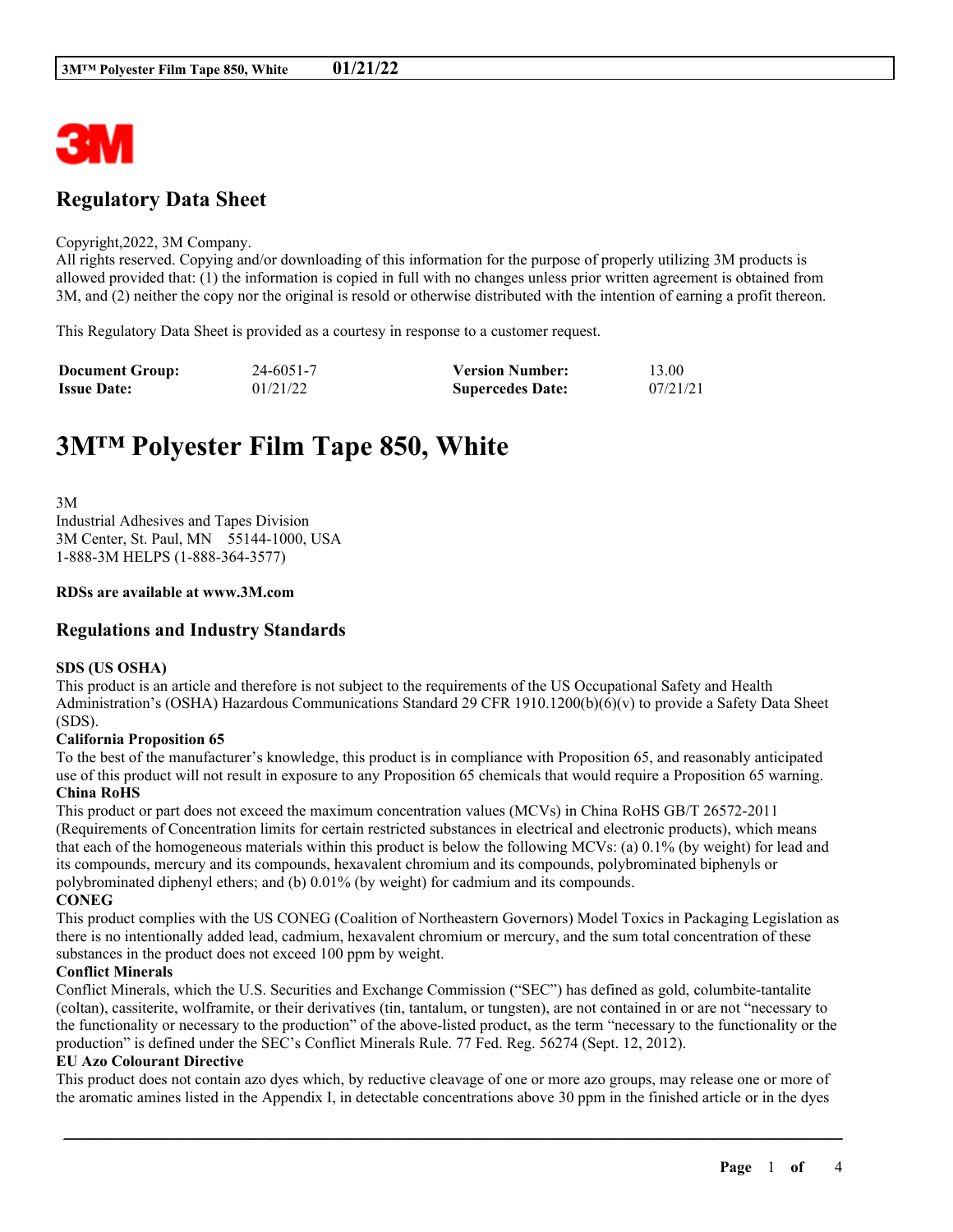

# **Regulatory Data Sheet**

#### Copyright,2022, 3M Company.

All rights reserved. Copying and/or downloading of this information for the purpose of properly utilizing 3M products is allowed provided that: (1) the information is copied in full with no changes unless prior written agreement is obtained from 3M, and (2) neither the copy nor the original is resold or otherwise distributed with the intention of earning a profit thereon.

This Regulatory Data Sheet is provided as a courtesy in response to a customer request.

| <b>Document Group:</b> | 24-6051-7 | <b>Version Number:</b>  | 13.00    |
|------------------------|-----------|-------------------------|----------|
| <b>Issue Date:</b>     | 01/21/22  | <b>Supercedes Date:</b> | 07/21/21 |

# **3M™ Polyester Film Tape 850, White**

3M Industrial Adhesives and Tapes Division 3M Center, St. Paul, MN 55144-1000, USA 1-888-3M HELPS (1-888-364-3577)

#### **RDSs are available at www.3M.com**

# **Regulations and Industry Standards**

#### **SDS (US OSHA)**

This product is an article and therefore is not subject to the requirements of the US Occupational Safety and Health Administration's (OSHA) Hazardous Communications Standard 29 CFR 1910.1200(b)(6)(v) to provide a Safety Data Sheet (SDS).

#### **California Proposition 65**

To the best of the manufacturer's knowledge, this product is in compliance with Proposition 65, and reasonably anticipated use of this product will not result in exposure to any Proposition 65 chemicals that would require a Proposition 65 warning. **China RoHS**

This product or part does not exceed the maximum concentration values (MCVs) in China RoHS GB/T 26572-2011 (Requirements of Concentration limits for certain restricted substances in electrical and electronic products), which means that each of the homogeneous materials within this product is below the following MCVs: (a) 0.1% (by weight) for lead and its compounds, mercury and its compounds, hexavalent chromium and its compounds, polybrominated biphenyls or polybrominated diphenyl ethers; and (b) 0.01% (by weight) for cadmium and its compounds. **CONEG**

This product complies with the US CONEG (Coalition of Northeastern Governors) Model Toxics in Packaging Legislation as there is no intentionally added lead, cadmium, hexavalent chromium or mercury, and the sum total concentration of these substances in the product does not exceed 100 ppm by weight.

#### **Conflict Minerals**

Conflict Minerals, which the U.S. Securities and Exchange Commission ("SEC") has defined as gold, columbite-tantalite (coltan), cassiterite, wolframite, or their derivatives (tin, tantalum, or tungsten), are not contained in or are not "necessary to the functionality or necessary to the production" of the above-listed product, as the term "necessary to the functionality or the production" is defined under the SEC's Conflict Minerals Rule. 77 Fed. Reg. 56274 (Sept. 12, 2012).

#### **EU Azo Colourant Directive**

This product does not contain azo dyes which, by reductive cleavage of one or more azo groups, may release one or more of the aromatic amines listed in the Appendix I, in detectable concentrations above 30 ppm in the finished article or in the dyes

\_\_\_\_\_\_\_\_\_\_\_\_\_\_\_\_\_\_\_\_\_\_\_\_\_\_\_\_\_\_\_\_\_\_\_\_\_\_\_\_\_\_\_\_\_\_\_\_\_\_\_\_\_\_\_\_\_\_\_\_\_\_\_\_\_\_\_\_\_\_\_\_\_\_\_\_\_\_\_\_\_\_\_\_\_\_\_\_\_\_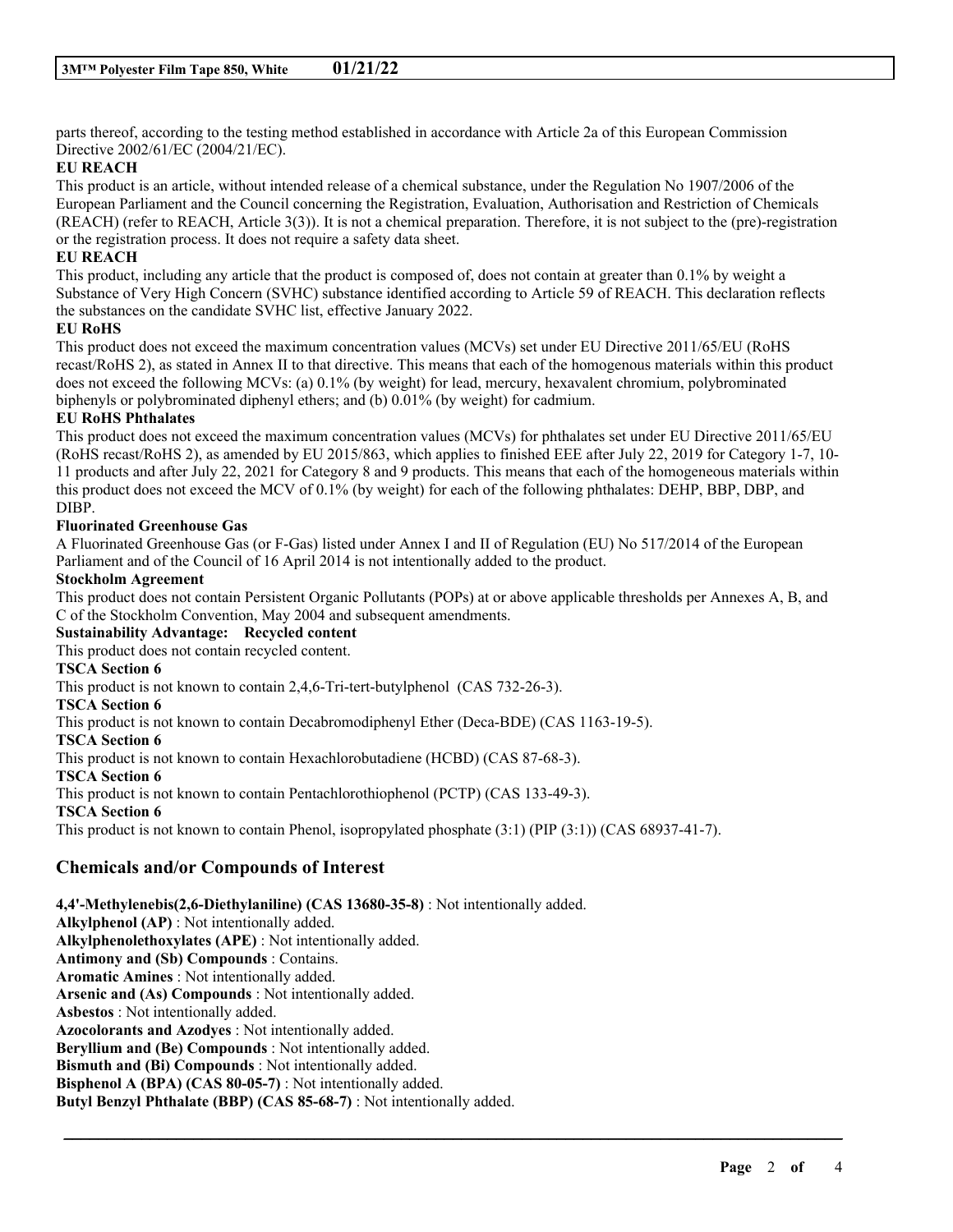parts thereof, according to the testing method established in accordance with Article 2a of this European Commission Directive 2002/61/EC (2004/21/EC).

#### **EU REACH**

This product is an article, without intended release of a chemical substance, under the Regulation No 1907/2006 of the European Parliament and the Council concerning the Registration, Evaluation, Authorisation and Restriction of Chemicals (REACH) (refer to REACH, Article 3(3)). It is not a chemical preparation. Therefore, it is not subject to the (pre)-registration or the registration process. It does not require a safety data sheet.

#### **EU REACH**

This product, including any article that the product is composed of, does not contain at greater than 0.1% by weight a Substance of Very High Concern (SVHC) substance identified according to Article 59 of REACH. This declaration reflects the substances on the candidate SVHC list, effective January 2022.

#### **EU RoHS**

This product does not exceed the maximum concentration values (MCVs) set under EU Directive 2011/65/EU (RoHS recast/RoHS 2), as stated in Annex II to that directive. This means that each of the homogenous materials within this product does not exceed the following MCVs: (a) 0.1% (by weight) for lead, mercury, hexavalent chromium, polybrominated biphenyls or polybrominated diphenyl ethers; and (b) 0.01% (by weight) for cadmium.

## **EU RoHS Phthalates**

This product does not exceed the maximum concentration values (MCVs) for phthalates set under EU Directive 2011/65/EU (RoHS recast/RoHS 2), as amended by EU 2015/863, which applies to finished EEE after July 22, 2019 for Category 1-7, 10- 11 products and after July 22, 2021 for Category 8 and 9 products. This means that each of the homogeneous materials within this product does not exceed the MCV of 0.1% (by weight) for each of the following phthalates: DEHP, BBP, DBP, and DIBP.

## **Fluorinated Greenhouse Gas**

A Fluorinated Greenhouse Gas (or F-Gas) listed under Annex I and II of Regulation (EU) No 517/2014 of the European Parliament and of the Council of 16 April 2014 is not intentionally added to the product.

#### **Stockholm Agreement**

This product does not contain Persistent Organic Pollutants (POPs) at or above applicable thresholds per Annexes A, B, and C of the Stockholm Convention, May 2004 and subsequent amendments.

\_\_\_\_\_\_\_\_\_\_\_\_\_\_\_\_\_\_\_\_\_\_\_\_\_\_\_\_\_\_\_\_\_\_\_\_\_\_\_\_\_\_\_\_\_\_\_\_\_\_\_\_\_\_\_\_\_\_\_\_\_\_\_\_\_\_\_\_\_\_\_\_\_\_\_\_\_\_\_\_\_\_\_\_\_\_\_\_\_\_

#### **Sustainability Advantage: Recycled content**

This product does not contain recycled content.

#### **TSCA Section 6**

This product is not known to contain 2,4,6-Tri-tert-butylphenol (CAS 732-26-3).

**TSCA Section 6**

This product is not known to contain Decabromodiphenyl Ether (Deca-BDE) (CAS 1163-19-5).

#### **TSCA Section 6**

This product is not known to contain Hexachlorobutadiene (HCBD) (CAS 87-68-3).

**TSCA Section 6**

This product is not known to contain Pentachlorothiophenol (PCTP) (CAS 133-49-3).

# **TSCA Section 6**

This product is not known to contain Phenol, isopropylated phosphate (3:1) (PIP (3:1)) (CAS 68937-41-7).

# **Chemicals and/or Compounds of Interest**

**4,4'-Methylenebis(2,6-Diethylaniline) (CAS 13680-35-8)** : Not intentionally added.

**Alkylphenol (AP)** : Not intentionally added. **Alkylphenolethoxylates (APE)** : Not intentionally added. **Antimony and (Sb) Compounds** : Contains. **Aromatic Amines** : Not intentionally added. **Arsenic and (As) Compounds** : Not intentionally added. **Asbestos** : Not intentionally added. **Azocolorants and Azodyes** : Not intentionally added. **Beryllium and (Be) Compounds** : Not intentionally added. **Bismuth and (Bi) Compounds** : Not intentionally added. **Bisphenol A (BPA) (CAS 80-05-7)** : Not intentionally added. **Butyl Benzyl Phthalate (BBP) (CAS 85-68-7)** : Not intentionally added.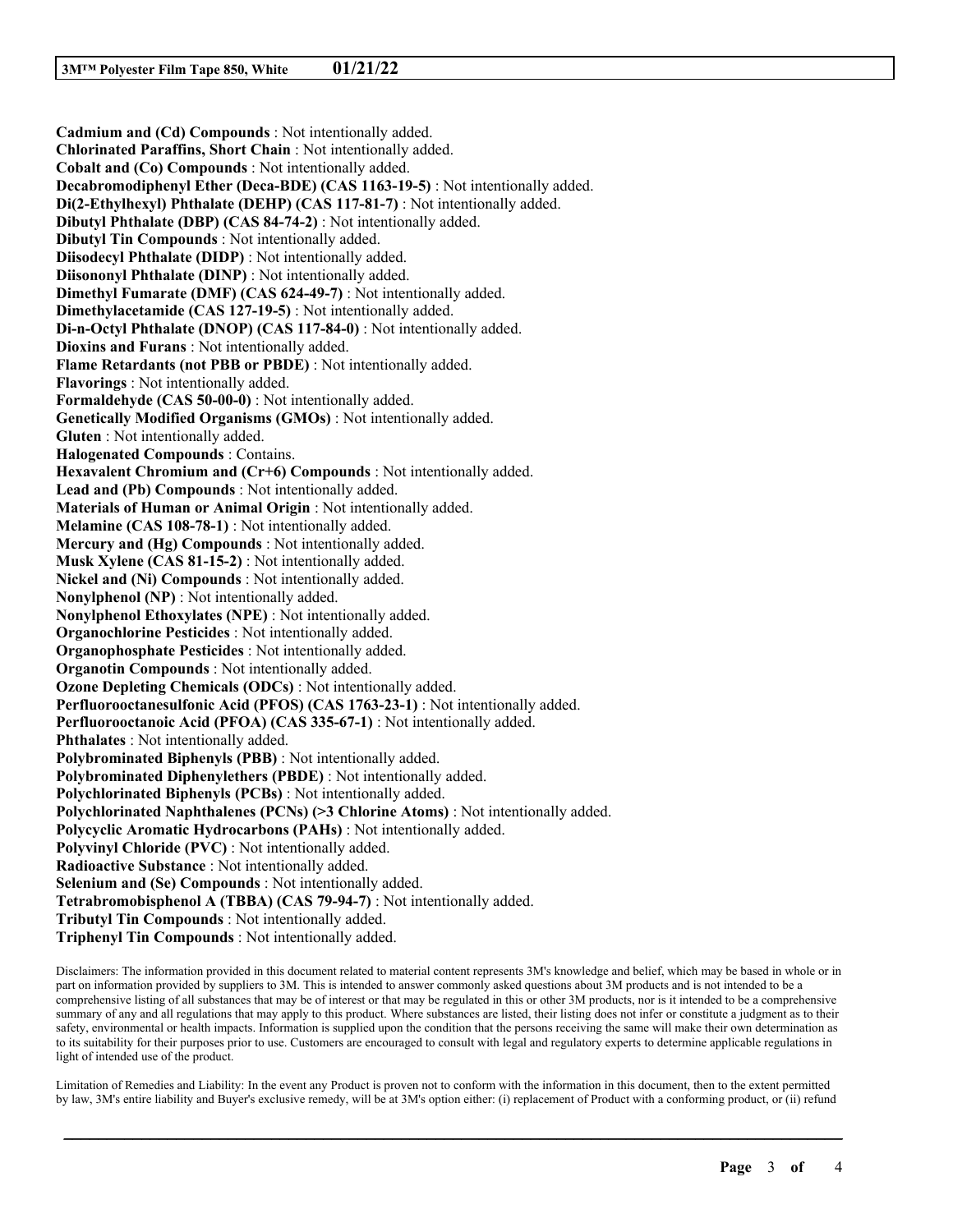**Cadmium and (Cd) Compounds** : Not intentionally added. **Chlorinated Paraffins, Short Chain** : Not intentionally added. **Cobalt and (Co) Compounds** : Not intentionally added. **Decabromodiphenyl Ether (Deca-BDE) (CAS 1163-19-5)** : Not intentionally added. **Di(2-Ethylhexyl) Phthalate (DEHP) (CAS 117-81-7)** : Not intentionally added. **Dibutyl Phthalate (DBP) (CAS 84-74-2)** : Not intentionally added. **Dibutyl Tin Compounds** : Not intentionally added. **Diisodecyl Phthalate (DIDP)** : Not intentionally added. **Diisononyl Phthalate (DINP)** : Not intentionally added. **Dimethyl Fumarate (DMF) (CAS 624-49-7)** : Not intentionally added. **Dimethylacetamide (CAS 127-19-5)** : Not intentionally added. **Di-n-Octyl Phthalate (DNOP) (CAS 117-84-0)** : Not intentionally added. **Dioxins and Furans** : Not intentionally added. **Flame Retardants (not PBB or PBDE)** : Not intentionally added. **Flavorings** : Not intentionally added. **Formaldehyde (CAS 50-00-0)** : Not intentionally added. **Genetically Modified Organisms (GMOs)** : Not intentionally added. **Gluten** : Not intentionally added. **Halogenated Compounds** : Contains. **Hexavalent Chromium and (Cr+6) Compounds** : Not intentionally added. **Lead and (Pb) Compounds** : Not intentionally added. **Materials of Human or Animal Origin** : Not intentionally added. **Melamine (CAS 108-78-1)** : Not intentionally added. **Mercury and (Hg) Compounds** : Not intentionally added. **Musk Xylene (CAS 81-15-2)** : Not intentionally added. **Nickel and (Ni) Compounds** : Not intentionally added. **Nonylphenol (NP)** : Not intentionally added. **Nonylphenol Ethoxylates (NPE)** : Not intentionally added. **Organochlorine Pesticides** : Not intentionally added. **Organophosphate Pesticides** : Not intentionally added. **Organotin Compounds** : Not intentionally added. **Ozone Depleting Chemicals (ODCs)** : Not intentionally added. **Perfluorooctanesulfonic Acid (PFOS) (CAS 1763-23-1)** : Not intentionally added. **Perfluorooctanoic Acid (PFOA) (CAS 335-67-1)** : Not intentionally added. **Phthalates** : Not intentionally added. **Polybrominated Biphenyls (PBB)** : Not intentionally added. **Polybrominated Diphenylethers (PBDE)** : Not intentionally added. **Polychlorinated Biphenyls (PCBs)** : Not intentionally added. **Polychlorinated Naphthalenes (PCNs) (>3 Chlorine Atoms)** : Not intentionally added. **Polycyclic Aromatic Hydrocarbons (PAHs)** : Not intentionally added. **Polyvinyl Chloride (PVC)** : Not intentionally added. **Radioactive Substance** : Not intentionally added. **Selenium and (Se) Compounds** : Not intentionally added. **Tetrabromobisphenol A (TBBA) (CAS 79-94-7)** : Not intentionally added. **Tributyl Tin Compounds** : Not intentionally added. **Triphenyl Tin Compounds** : Not intentionally added.

Disclaimers: The information provided in this document related to material content represents 3M's knowledge and belief, which may be based in whole or in part on information provided by suppliers to 3M. This is intended to answer commonly asked questions about 3M products and is not intended to be a comprehensive listing of all substances that may be of interest or that may be regulated in this or other 3M products, nor is it intended to be a comprehensive summary of any and all regulations that may apply to this product. Where substances are listed, their listing does not infer or constitute a judgment as to their safety, environmental or health impacts. Information is supplied upon the condition that the persons receiving the same will make their own determination as to its suitability for their purposes prior to use. Customers are encouraged to consult with legal and regulatory experts to determine applicable regulations in light of intended use of the product.

Limitation of Remedies and Liability: In the event any Product is proven not to conform with the information in this document, then to the extent permitted by law, 3M's entire liability and Buyer's exclusive remedy, will be at 3M's option either: (i) replacement of Product with a conforming product, or (ii) refund

\_\_\_\_\_\_\_\_\_\_\_\_\_\_\_\_\_\_\_\_\_\_\_\_\_\_\_\_\_\_\_\_\_\_\_\_\_\_\_\_\_\_\_\_\_\_\_\_\_\_\_\_\_\_\_\_\_\_\_\_\_\_\_\_\_\_\_\_\_\_\_\_\_\_\_\_\_\_\_\_\_\_\_\_\_\_\_\_\_\_